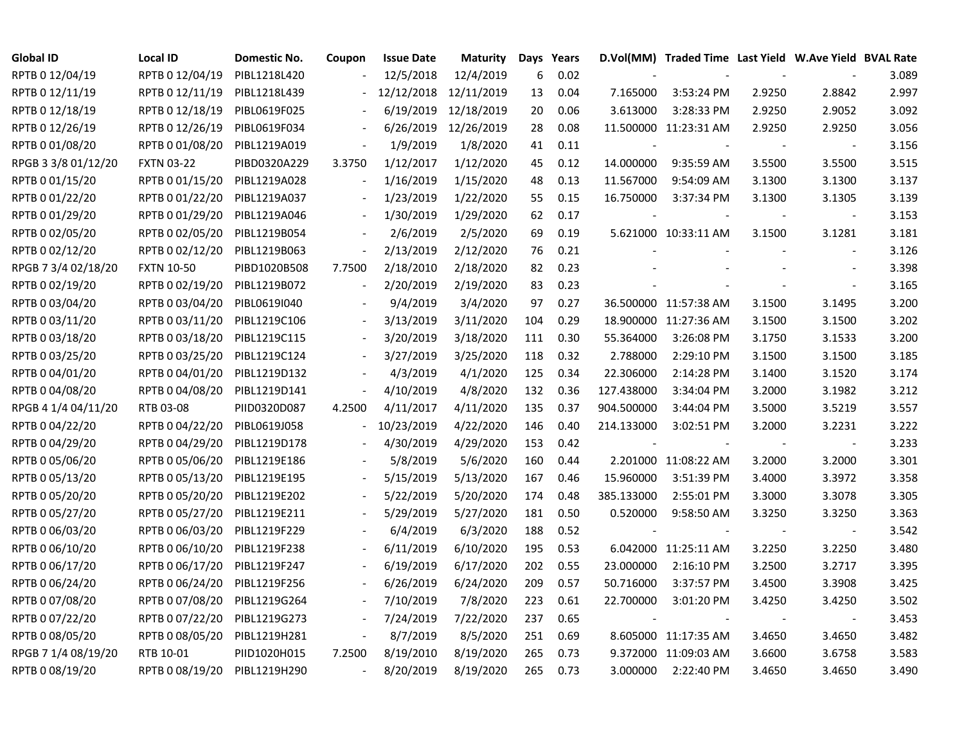| <b>Global ID</b>    | <b>Local ID</b>   | <b>Domestic No.</b> | Coupon                   | <b>Issue Date</b>     | <b>Maturity</b>      |     | Days Years |            | D.Vol(MM) Traded Time Last Yield W.Ave Yield BVAL Rate |        |                          |       |
|---------------------|-------------------|---------------------|--------------------------|-----------------------|----------------------|-----|------------|------------|--------------------------------------------------------|--------|--------------------------|-------|
| RPTB 0 12/04/19     | RPTB 0 12/04/19   | PIBL1218L420        |                          | 12/5/2018             | 12/4/2019            | 6   | 0.02       |            |                                                        |        |                          | 3.089 |
| RPTB 0 12/11/19     | RPTB 0 12/11/19   | PIBL1218L439        |                          | 12/12/2018 12/11/2019 |                      | 13  | 0.04       | 7.165000   | 3:53:24 PM                                             | 2.9250 | 2.8842                   | 2.997 |
| RPTB 0 12/18/19     | RPTB 0 12/18/19   | PIBL0619F025        |                          | 6/19/2019             | 12/18/2019           | 20  | 0.06       | 3.613000   | 3:28:33 PM                                             | 2.9250 | 2.9052                   | 3.092 |
| RPTB 0 12/26/19     | RPTB 0 12/26/19   | PIBL0619F034        |                          |                       | 6/26/2019 12/26/2019 | 28  | 0.08       |            | 11.500000 11:23:31 AM                                  | 2.9250 | 2.9250                   | 3.056 |
| RPTB 0 01/08/20     | RPTB 0 01/08/20   | PIBL1219A019        |                          | 1/9/2019              | 1/8/2020             | 41  | 0.11       |            |                                                        |        | $\overline{\phantom{a}}$ | 3.156 |
| RPGB 3 3/8 01/12/20 | <b>FXTN 03-22</b> | PIBD0320A229        | 3.3750                   | 1/12/2017             | 1/12/2020            | 45  | 0.12       | 14.000000  | 9:35:59 AM                                             | 3.5500 | 3.5500                   | 3.515 |
| RPTB 0 01/15/20     | RPTB 0 01/15/20   | PIBL1219A028        | $\blacksquare$           | 1/16/2019             | 1/15/2020            | 48  | 0.13       | 11.567000  | 9:54:09 AM                                             | 3.1300 | 3.1300                   | 3.137 |
| RPTB 0 01/22/20     | RPTB 0 01/22/20   | PIBL1219A037        |                          | 1/23/2019             | 1/22/2020            | 55  | 0.15       | 16.750000  | 3:37:34 PM                                             | 3.1300 | 3.1305                   | 3.139 |
| RPTB 0 01/29/20     | RPTB 0 01/29/20   | PIBL1219A046        |                          | 1/30/2019             | 1/29/2020            | 62  | 0.17       |            |                                                        |        | $\blacksquare$           | 3.153 |
| RPTB 0 02/05/20     | RPTB 0 02/05/20   | PIBL1219B054        |                          | 2/6/2019              | 2/5/2020             | 69  | 0.19       |            | 5.621000 10:33:11 AM                                   | 3.1500 | 3.1281                   | 3.181 |
| RPTB 0 02/12/20     | RPTB 0 02/12/20   | PIBL1219B063        | $\overline{\phantom{a}}$ | 2/13/2019             | 2/12/2020            | 76  | 0.21       |            |                                                        |        | $\overline{\phantom{a}}$ | 3.126 |
| RPGB 7 3/4 02/18/20 | <b>FXTN 10-50</b> | PIBD1020B508        | 7.7500                   | 2/18/2010             | 2/18/2020            | 82  | 0.23       |            |                                                        |        | $\sim$                   | 3.398 |
| RPTB 0 02/19/20     | RPTB 0 02/19/20   | PIBL1219B072        | $\overline{a}$           | 2/20/2019             | 2/19/2020            | 83  | 0.23       |            |                                                        |        | $\sim$                   | 3.165 |
| RPTB 0 03/04/20     | RPTB 0 03/04/20   | PIBL0619I040        |                          | 9/4/2019              | 3/4/2020             | 97  | 0.27       |            | 36.500000 11:57:38 AM                                  | 3.1500 | 3.1495                   | 3.200 |
| RPTB 0 03/11/20     | RPTB 0 03/11/20   | PIBL1219C106        |                          | 3/13/2019             | 3/11/2020            | 104 | 0.29       |            | 18.900000 11:27:36 AM                                  | 3.1500 | 3.1500                   | 3.202 |
| RPTB 0 03/18/20     | RPTB 0 03/18/20   | PIBL1219C115        |                          | 3/20/2019             | 3/18/2020            | 111 | 0.30       | 55.364000  | 3:26:08 PM                                             | 3.1750 | 3.1533                   | 3.200 |
| RPTB 0 03/25/20     | RPTB 0 03/25/20   | PIBL1219C124        |                          | 3/27/2019             | 3/25/2020            | 118 | 0.32       | 2.788000   | 2:29:10 PM                                             | 3.1500 | 3.1500                   | 3.185 |
| RPTB 0 04/01/20     | RPTB 0 04/01/20   | PIBL1219D132        |                          | 4/3/2019              | 4/1/2020             | 125 | 0.34       | 22.306000  | 2:14:28 PM                                             | 3.1400 | 3.1520                   | 3.174 |
| RPTB 0 04/08/20     | RPTB 0 04/08/20   | PIBL1219D141        | $\overline{\phantom{a}}$ | 4/10/2019             | 4/8/2020             | 132 | 0.36       | 127.438000 | 3:34:04 PM                                             | 3.2000 | 3.1982                   | 3.212 |
| RPGB 4 1/4 04/11/20 | RTB 03-08         | PIID0320D087        | 4.2500                   | 4/11/2017             | 4/11/2020            | 135 | 0.37       | 904.500000 | 3:44:04 PM                                             | 3.5000 | 3.5219                   | 3.557 |
| RPTB 0 04/22/20     | RPTB 0 04/22/20   | PIBL0619J058        | $\blacksquare$           | 10/23/2019            | 4/22/2020            | 146 | 0.40       | 214.133000 | 3:02:51 PM                                             | 3.2000 | 3.2231                   | 3.222 |
| RPTB 0 04/29/20     | RPTB 0 04/29/20   | PIBL1219D178        |                          | 4/30/2019             | 4/29/2020            | 153 | 0.42       |            |                                                        |        | $\overline{\phantom{a}}$ | 3.233 |
| RPTB 0 05/06/20     | RPTB 0 05/06/20   | PIBL1219E186        |                          | 5/8/2019              | 5/6/2020             | 160 | 0.44       |            | 2.201000 11:08:22 AM                                   | 3.2000 | 3.2000                   | 3.301 |
| RPTB 0 05/13/20     | RPTB 0 05/13/20   | PIBL1219E195        |                          | 5/15/2019             | 5/13/2020            | 167 | 0.46       | 15.960000  | 3:51:39 PM                                             | 3.4000 | 3.3972                   | 3.358 |
| RPTB 0 05/20/20     | RPTB 0 05/20/20   | PIBL1219E202        |                          | 5/22/2019             | 5/20/2020            | 174 | 0.48       | 385.133000 | 2:55:01 PM                                             | 3.3000 | 3.3078                   | 3.305 |
| RPTB 0 05/27/20     | RPTB 0 05/27/20   | PIBL1219E211        |                          | 5/29/2019             | 5/27/2020            | 181 | 0.50       | 0.520000   | 9:58:50 AM                                             | 3.3250 | 3.3250                   | 3.363 |
| RPTB 0 06/03/20     | RPTB 0 06/03/20   | PIBL1219F229        |                          | 6/4/2019              | 6/3/2020             | 188 | 0.52       |            |                                                        |        | $\overline{\phantom{a}}$ | 3.542 |
| RPTB 0 06/10/20     | RPTB 0 06/10/20   | PIBL1219F238        |                          | 6/11/2019             | 6/10/2020            | 195 | 0.53       |            | 6.042000 11:25:11 AM                                   | 3.2250 | 3.2250                   | 3.480 |
| RPTB 0 06/17/20     | RPTB 0 06/17/20   | PIBL1219F247        |                          | 6/19/2019             | 6/17/2020            | 202 | 0.55       | 23.000000  | 2:16:10 PM                                             | 3.2500 | 3.2717                   | 3.395 |
| RPTB 0 06/24/20     | RPTB 0 06/24/20   | PIBL1219F256        |                          | 6/26/2019             | 6/24/2020            | 209 | 0.57       | 50.716000  | 3:37:57 PM                                             | 3.4500 | 3.3908                   | 3.425 |
| RPTB 0 07/08/20     | RPTB 0 07/08/20   | PIBL1219G264        |                          | 7/10/2019             | 7/8/2020             | 223 | 0.61       | 22.700000  | 3:01:20 PM                                             | 3.4250 | 3.4250                   | 3.502 |
| RPTB 0 07/22/20     | RPTB 0 07/22/20   | PIBL1219G273        | $\overline{\phantom{0}}$ | 7/24/2019             | 7/22/2020            | 237 | 0.65       |            |                                                        |        | $\blacksquare$           | 3.453 |
| RPTB 0 08/05/20     | RPTB 0 08/05/20   | PIBL1219H281        | $\blacksquare$           | 8/7/2019              | 8/5/2020             | 251 | 0.69       |            | 8.605000 11:17:35 AM                                   | 3.4650 | 3.4650                   | 3.482 |
| RPGB 7 1/4 08/19/20 | RTB 10-01         | PIID1020H015        | 7.2500                   | 8/19/2010             | 8/19/2020            | 265 | 0.73       |            | 9.372000 11:09:03 AM                                   | 3.6600 | 3.6758                   | 3.583 |
| RPTB 0 08/19/20     | RPTB 0 08/19/20   | PIBL1219H290        | $\overline{a}$           | 8/20/2019             | 8/19/2020            | 265 | 0.73       | 3.000000   | 2:22:40 PM                                             | 3.4650 | 3.4650                   | 3.490 |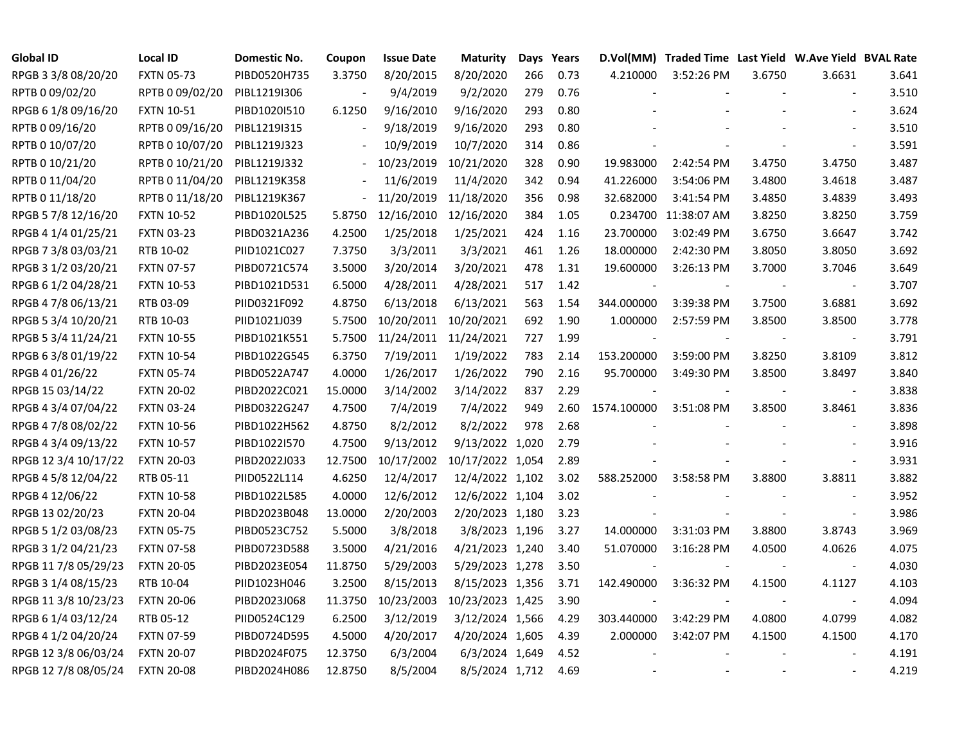| <b>Global ID</b>     | <b>Local ID</b>   | <b>Domestic No.</b> | Coupon                   | <b>Issue Date</b> | <b>Maturity</b>             |     | Days Years |                | D.Vol(MM) Traded Time Last Yield W.Ave Yield BVAL Rate |        |                          |       |
|----------------------|-------------------|---------------------|--------------------------|-------------------|-----------------------------|-----|------------|----------------|--------------------------------------------------------|--------|--------------------------|-------|
| RPGB 3 3/8 08/20/20  | <b>FXTN 05-73</b> | PIBD0520H735        | 3.3750                   | 8/20/2015         | 8/20/2020                   | 266 | 0.73       | 4.210000       | 3:52:26 PM                                             | 3.6750 | 3.6631                   | 3.641 |
| RPTB 0 09/02/20      | RPTB 0 09/02/20   | PIBL1219I306        |                          | 9/4/2019          | 9/2/2020                    | 279 | 0.76       |                |                                                        |        |                          | 3.510 |
| RPGB 6 1/8 09/16/20  | <b>FXTN 10-51</b> | PIBD1020I510        | 6.1250                   | 9/16/2010         | 9/16/2020                   | 293 | 0.80       |                |                                                        |        |                          | 3.624 |
| RPTB 0 09/16/20      | RPTB 0 09/16/20   | PIBL1219I315        |                          | 9/18/2019         | 9/16/2020                   | 293 | 0.80       |                |                                                        |        |                          | 3.510 |
| RPTB 0 10/07/20      | RPTB 0 10/07/20   | PIBL1219J323        |                          | 10/9/2019         | 10/7/2020                   | 314 | 0.86       |                |                                                        |        |                          | 3.591 |
| RPTB 0 10/21/20      | RPTB 0 10/21/20   | PIBL1219J332        | $\overline{\phantom{a}}$ |                   | 10/23/2019 10/21/2020       | 328 | 0.90       | 19.983000      | 2:42:54 PM                                             | 3.4750 | 3.4750                   | 3.487 |
| RPTB 0 11/04/20      | RPTB 0 11/04/20   | PIBL1219K358        | $\overline{\phantom{a}}$ | 11/6/2019         | 11/4/2020                   | 342 | 0.94       | 41.226000      | 3:54:06 PM                                             | 3.4800 | 3.4618                   | 3.487 |
| RPTB 0 11/18/20      | RPTB 0 11/18/20   | PIBL1219K367        | $\overline{\phantom{a}}$ |                   | 11/20/2019 11/18/2020       | 356 | 0.98       | 32.682000      | 3:41:54 PM                                             | 3.4850 | 3.4839                   | 3.493 |
| RPGB 5 7/8 12/16/20  | <b>FXTN 10-52</b> | PIBD1020L525        | 5.8750                   | 12/16/2010        | 12/16/2020                  | 384 | 1.05       |                | 0.234700 11:38:07 AM                                   | 3.8250 | 3.8250                   | 3.759 |
| RPGB 4 1/4 01/25/21  | <b>FXTN 03-23</b> | PIBD0321A236        | 4.2500                   | 1/25/2018         | 1/25/2021                   | 424 | 1.16       | 23.700000      | 3:02:49 PM                                             | 3.6750 | 3.6647                   | 3.742 |
| RPGB 7 3/8 03/03/21  | RTB 10-02         | PIID1021C027        | 7.3750                   | 3/3/2011          | 3/3/2021                    | 461 | 1.26       | 18.000000      | 2:42:30 PM                                             | 3.8050 | 3.8050                   | 3.692 |
| RPGB 3 1/2 03/20/21  | <b>FXTN 07-57</b> | PIBD0721C574        | 3.5000                   | 3/20/2014         | 3/20/2021                   | 478 | 1.31       | 19.600000      | 3:26:13 PM                                             | 3.7000 | 3.7046                   | 3.649 |
| RPGB 6 1/2 04/28/21  | <b>FXTN 10-53</b> | PIBD1021D531        | 6.5000                   | 4/28/2011         | 4/28/2021                   | 517 | 1.42       | $\blacksquare$ |                                                        |        | $\overline{\phantom{a}}$ | 3.707 |
| RPGB 4 7/8 06/13/21  | RTB 03-09         | PIID0321F092        | 4.8750                   | 6/13/2018         | 6/13/2021                   | 563 | 1.54       | 344.000000     | 3:39:38 PM                                             | 3.7500 | 3.6881                   | 3.692 |
| RPGB 5 3/4 10/20/21  | RTB 10-03         | PIID1021J039        | 5.7500                   |                   | 10/20/2011 10/20/2021       | 692 | 1.90       | 1.000000       | 2:57:59 PM                                             | 3.8500 | 3.8500                   | 3.778 |
| RPGB 5 3/4 11/24/21  | <b>FXTN 10-55</b> | PIBD1021K551        | 5.7500                   |                   | 11/24/2011 11/24/2021       | 727 | 1.99       |                |                                                        |        |                          | 3.791 |
| RPGB 63/8 01/19/22   | <b>FXTN 10-54</b> | PIBD1022G545        | 6.3750                   | 7/19/2011         | 1/19/2022                   | 783 | 2.14       | 153.200000     | 3:59:00 PM                                             | 3.8250 | 3.8109                   | 3.812 |
| RPGB 4 01/26/22      | <b>FXTN 05-74</b> | PIBD0522A747        | 4.0000                   | 1/26/2017         | 1/26/2022                   | 790 | 2.16       | 95.700000      | 3:49:30 PM                                             | 3.8500 | 3.8497                   | 3.840 |
| RPGB 15 03/14/22     | <b>FXTN 20-02</b> | PIBD2022C021        | 15.0000                  | 3/14/2002         | 3/14/2022                   | 837 | 2.29       |                |                                                        |        | $\overline{\phantom{a}}$ | 3.838 |
| RPGB 4 3/4 07/04/22  | <b>FXTN 03-24</b> | PIBD0322G247        | 4.7500                   | 7/4/2019          | 7/4/2022                    | 949 | 2.60       | 1574.100000    | 3:51:08 PM                                             | 3.8500 | 3.8461                   | 3.836 |
| RPGB 4 7/8 08/02/22  | <b>FXTN 10-56</b> | PIBD1022H562        | 4.8750                   | 8/2/2012          | 8/2/2022                    | 978 | 2.68       |                |                                                        |        | $\sim$                   | 3.898 |
| RPGB 4 3/4 09/13/22  | <b>FXTN 10-57</b> | PIBD1022I570        | 4.7500                   | 9/13/2012         | 9/13/2022 1,020             |     | 2.79       |                |                                                        |        |                          | 3.916 |
| RPGB 12 3/4 10/17/22 | <b>FXTN 20-03</b> | PIBD2022J033        | 12.7500                  |                   | 10/17/2002 10/17/2022 1,054 |     | 2.89       |                |                                                        |        | $\blacksquare$           | 3.931 |
| RPGB 4 5/8 12/04/22  | RTB 05-11         | PIID0522L114        | 4.6250                   | 12/4/2017         | 12/4/2022 1,102             |     | 3.02       | 588.252000     | 3:58:58 PM                                             | 3.8800 | 3.8811                   | 3.882 |
| RPGB 4 12/06/22      | <b>FXTN 10-58</b> | PIBD1022L585        | 4.0000                   | 12/6/2012         | 12/6/2022 1,104             |     | 3.02       |                |                                                        |        | $\mathbf{r}$             | 3.952 |
| RPGB 13 02/20/23     | <b>FXTN 20-04</b> | PIBD2023B048        | 13.0000                  | 2/20/2003         | 2/20/2023 1,180             |     | 3.23       |                |                                                        |        | $\blacksquare$           | 3.986 |
| RPGB 5 1/2 03/08/23  | <b>FXTN 05-75</b> | PIBD0523C752        | 5.5000                   | 3/8/2018          | 3/8/2023 1,196              |     | 3.27       | 14.000000      | 3:31:03 PM                                             | 3.8800 | 3.8743                   | 3.969 |
| RPGB 3 1/2 04/21/23  | <b>FXTN 07-58</b> | PIBD0723D588        | 3.5000                   | 4/21/2016         | 4/21/2023 1,240             |     | 3.40       | 51.070000      | 3:16:28 PM                                             | 4.0500 | 4.0626                   | 4.075 |
| RPGB 11 7/8 05/29/23 | <b>FXTN 20-05</b> | PIBD2023E054        | 11.8750                  | 5/29/2003         | 5/29/2023 1,278             |     | 3.50       |                |                                                        |        |                          | 4.030 |
| RPGB 3 1/4 08/15/23  | RTB 10-04         | PIID1023H046        | 3.2500                   | 8/15/2013         | 8/15/2023 1,356             |     | 3.71       | 142.490000     | 3:36:32 PM                                             | 4.1500 | 4.1127                   | 4.103 |
| RPGB 11 3/8 10/23/23 | <b>FXTN 20-06</b> | PIBD2023J068        | 11.3750                  | 10/23/2003        | 10/23/2023 1,425            |     | 3.90       |                |                                                        |        |                          | 4.094 |
| RPGB 6 1/4 03/12/24  | RTB 05-12         | PIID0524C129        | 6.2500                   | 3/12/2019         | 3/12/2024 1,566             |     | 4.29       | 303.440000     | 3:42:29 PM                                             | 4.0800 | 4.0799                   | 4.082 |
| RPGB 4 1/2 04/20/24  | <b>FXTN 07-59</b> | PIBD0724D595        | 4.5000                   | 4/20/2017         | 4/20/2024 1,605             |     | 4.39       | 2.000000       | 3:42:07 PM                                             | 4.1500 | 4.1500                   | 4.170 |
| RPGB 12 3/8 06/03/24 | <b>FXTN 20-07</b> | PIBD2024F075        | 12.3750                  | 6/3/2004          | 6/3/2024 1,649              |     | 4.52       |                |                                                        |        |                          | 4.191 |
| RPGB 12 7/8 08/05/24 | <b>FXTN 20-08</b> | PIBD2024H086        | 12.8750                  | 8/5/2004          | 8/5/2024 1,712              |     | 4.69       |                |                                                        |        |                          | 4.219 |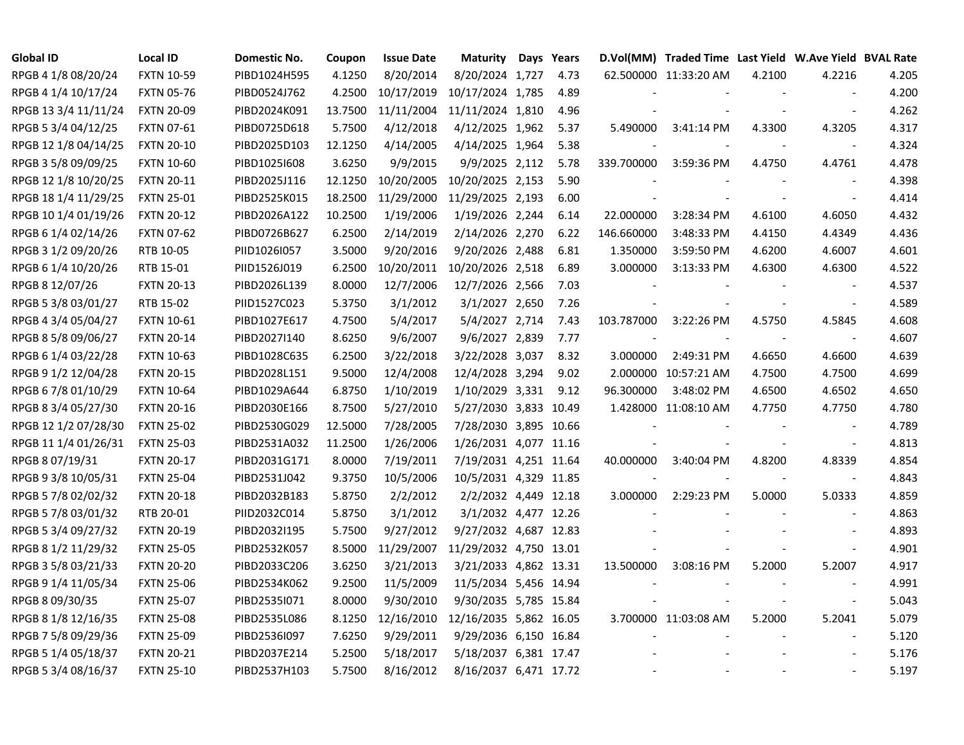| <b>Global ID</b>     | <b>Local ID</b>   | Domestic No. | Coupon  | <b>Issue Date</b> | <b>Maturity</b>        | Days Years |            | D.Vol(MM) Traded Time Last Yield W.Ave Yield BVAL Rate |        |                          |       |
|----------------------|-------------------|--------------|---------|-------------------|------------------------|------------|------------|--------------------------------------------------------|--------|--------------------------|-------|
| RPGB 4 1/8 08/20/24  | <b>FXTN 10-59</b> | PIBD1024H595 | 4.1250  | 8/20/2014         | 8/20/2024 1,727        | 4.73       |            | 62.500000 11:33:20 AM                                  | 4.2100 | 4.2216                   | 4.205 |
| RPGB 4 1/4 10/17/24  | <b>FXTN 05-76</b> | PIBD0524J762 | 4.2500  | 10/17/2019        | 10/17/2024 1,785       | 4.89       |            |                                                        |        | $\sim$                   | 4.200 |
| RPGB 13 3/4 11/11/24 | <b>FXTN 20-09</b> | PIBD2024K091 | 13.7500 | 11/11/2004        | 11/11/2024 1,810       | 4.96       |            |                                                        |        | $\sim$                   | 4.262 |
| RPGB 5 3/4 04/12/25  | <b>FXTN 07-61</b> | PIBD0725D618 | 5.7500  | 4/12/2018         | 4/12/2025 1,962        | 5.37       | 5.490000   | 3:41:14 PM                                             | 4.3300 | 4.3205                   | 4.317 |
| RPGB 12 1/8 04/14/25 | <b>FXTN 20-10</b> | PIBD2025D103 | 12.1250 | 4/14/2005         | 4/14/2025 1,964        | 5.38       |            |                                                        |        | $\overline{\phantom{a}}$ | 4.324 |
| RPGB 3 5/8 09/09/25  | <b>FXTN 10-60</b> | PIBD1025I608 | 3.6250  | 9/9/2015          | 9/9/2025 2,112         | 5.78       | 339.700000 | 3:59:36 PM                                             | 4.4750 | 4.4761                   | 4.478 |
| RPGB 12 1/8 10/20/25 | <b>FXTN 20-11</b> | PIBD2025J116 | 12.1250 | 10/20/2005        | 10/20/2025 2,153       | 5.90       |            |                                                        |        | $\blacksquare$           | 4.398 |
| RPGB 18 1/4 11/29/25 | <b>FXTN 25-01</b> | PIBD2525K015 | 18.2500 | 11/29/2000        | 11/29/2025 2,193       | 6.00       |            |                                                        |        | $\overline{\phantom{a}}$ | 4.414 |
| RPGB 10 1/4 01/19/26 | <b>FXTN 20-12</b> | PIBD2026A122 | 10.2500 | 1/19/2006         | 1/19/2026 2,244        | 6.14       | 22.000000  | 3:28:34 PM                                             | 4.6100 | 4.6050                   | 4.432 |
| RPGB 6 1/4 02/14/26  | <b>FXTN 07-62</b> | PIBD0726B627 | 6.2500  | 2/14/2019         | 2/14/2026 2,270        | 6.22       | 146.660000 | 3:48:33 PM                                             | 4.4150 | 4.4349                   | 4.436 |
| RPGB 3 1/2 09/20/26  | RTB 10-05         | PIID1026I057 | 3.5000  | 9/20/2016         | 9/20/2026 2,488        | 6.81       | 1.350000   | 3:59:50 PM                                             | 4.6200 | 4.6007                   | 4.601 |
| RPGB 6 1/4 10/20/26  | RTB 15-01         | PIID1526J019 | 6.2500  | 10/20/2011        | 10/20/2026 2,518       | 6.89       | 3.000000   | 3:13:33 PM                                             | 4.6300 | 4.6300                   | 4.522 |
| RPGB 8 12/07/26      | <b>FXTN 20-13</b> | PIBD2026L139 | 8.0000  | 12/7/2006         | 12/7/2026 2,566        | 7.03       |            |                                                        |        | $\sim$                   | 4.537 |
| RPGB 5 3/8 03/01/27  | RTB 15-02         | PIID1527C023 | 5.3750  | 3/1/2012          | 3/1/2027 2,650         | 7.26       |            |                                                        |        | $\blacksquare$           | 4.589 |
| RPGB 4 3/4 05/04/27  | <b>FXTN 10-61</b> | PIBD1027E617 | 4.7500  | 5/4/2017          | 5/4/2027 2,714         | 7.43       | 103.787000 | 3:22:26 PM                                             | 4.5750 | 4.5845                   | 4.608 |
| RPGB 8 5/8 09/06/27  | <b>FXTN 20-14</b> | PIBD2027I140 | 8.6250  | 9/6/2007          | 9/6/2027 2,839         | 7.77       |            |                                                        |        |                          | 4.607 |
| RPGB 6 1/4 03/22/28  | <b>FXTN 10-63</b> | PIBD1028C635 | 6.2500  | 3/22/2018         | 3/22/2028 3,037        | 8.32       | 3.000000   | 2:49:31 PM                                             | 4.6650 | 4.6600                   | 4.639 |
| RPGB 9 1/2 12/04/28  | <b>FXTN 20-15</b> | PIBD2028L151 | 9.5000  | 12/4/2008         | 12/4/2028 3,294        | 9.02       |            | 2.000000 10:57:21 AM                                   | 4.7500 | 4.7500                   | 4.699 |
| RPGB 6 7/8 01/10/29  | <b>FXTN 10-64</b> | PIBD1029A644 | 6.8750  | 1/10/2019         | 1/10/2029 3,331 9.12   |            | 96.300000  | 3:48:02 PM                                             | 4.6500 | 4.6502                   | 4.650 |
| RPGB 8 3/4 05/27/30  | <b>FXTN 20-16</b> | PIBD2030E166 | 8.7500  | 5/27/2010         | 5/27/2030 3,833 10.49  |            |            | 1.428000 11:08:10 AM                                   | 4.7750 | 4.7750                   | 4.780 |
| RPGB 12 1/2 07/28/30 | <b>FXTN 25-02</b> | PIBD2530G029 | 12.5000 | 7/28/2005         | 7/28/2030 3,895 10.66  |            |            |                                                        |        | $\overline{\phantom{a}}$ | 4.789 |
| RPGB 11 1/4 01/26/31 | <b>FXTN 25-03</b> | PIBD2531A032 | 11.2500 | 1/26/2006         | 1/26/2031 4,077 11.16  |            |            |                                                        |        | $\blacksquare$           | 4.813 |
| RPGB 8 07/19/31      | <b>FXTN 20-17</b> | PIBD2031G171 | 8.0000  | 7/19/2011         | 7/19/2031 4,251 11.64  |            | 40.000000  | 3:40:04 PM                                             | 4.8200 | 4.8339                   | 4.854 |
| RPGB 9 3/8 10/05/31  | <b>FXTN 25-04</b> | PIBD2531J042 | 9.3750  | 10/5/2006         | 10/5/2031 4,329 11.85  |            |            |                                                        |        | $\sim$                   | 4.843 |
| RPGB 5 7/8 02/02/32  | <b>FXTN 20-18</b> | PIBD2032B183 | 5.8750  | 2/2/2012          | 2/2/2032 4,449 12.18   |            | 3.000000   | 2:29:23 PM                                             | 5.0000 | 5.0333                   | 4.859 |
| RPGB 5 7/8 03/01/32  | RTB 20-01         | PIID2032C014 | 5.8750  | 3/1/2012          | 3/1/2032 4,477 12.26   |            |            |                                                        |        | $\sim$                   | 4.863 |
| RPGB 5 3/4 09/27/32  | <b>FXTN 20-19</b> | PIBD2032I195 | 5.7500  | 9/27/2012         | 9/27/2032 4,687 12.83  |            |            |                                                        |        | $\sim$                   | 4.893 |
| RPGB 8 1/2 11/29/32  | <b>FXTN 25-05</b> | PIBD2532K057 | 8.5000  | 11/29/2007        | 11/29/2032 4,750 13.01 |            |            |                                                        |        | $\sim$                   | 4.901 |
| RPGB 3 5/8 03/21/33  | <b>FXTN 20-20</b> | PIBD2033C206 | 3.6250  | 3/21/2013         | 3/21/2033 4,862 13.31  |            | 13.500000  | 3:08:16 PM                                             | 5.2000 | 5.2007                   | 4.917 |
| RPGB 9 1/4 11/05/34  | <b>FXTN 25-06</b> | PIBD2534K062 | 9.2500  | 11/5/2009         | 11/5/2034 5,456 14.94  |            |            |                                                        |        | $\overline{\phantom{a}}$ | 4.991 |
| RPGB 8 09/30/35      | <b>FXTN 25-07</b> | PIBD25351071 | 8.0000  | 9/30/2010         | 9/30/2035 5,785 15.84  |            |            |                                                        |        | $\blacksquare$           | 5.043 |
| RPGB 8 1/8 12/16/35  | <b>FXTN 25-08</b> | PIBD2535L086 | 8.1250  | 12/16/2010        | 12/16/2035 5,862 16.05 |            |            | 3.700000 11:03:08 AM                                   | 5.2000 | 5.2041                   | 5.079 |
| RPGB 7 5/8 09/29/36  | <b>FXTN 25-09</b> | PIBD2536I097 | 7.6250  | 9/29/2011         | 9/29/2036 6,150 16.84  |            |            |                                                        |        | $\overline{\phantom{a}}$ | 5.120 |
| RPGB 5 1/4 05/18/37  | <b>FXTN 20-21</b> | PIBD2037E214 | 5.2500  | 5/18/2017         | 5/18/2037 6,381 17.47  |            |            |                                                        |        |                          | 5.176 |
| RPGB 5 3/4 08/16/37  | <b>FXTN 25-10</b> | PIBD2537H103 | 5.7500  | 8/16/2012         | 8/16/2037 6,471 17.72  |            |            |                                                        |        |                          | 5.197 |